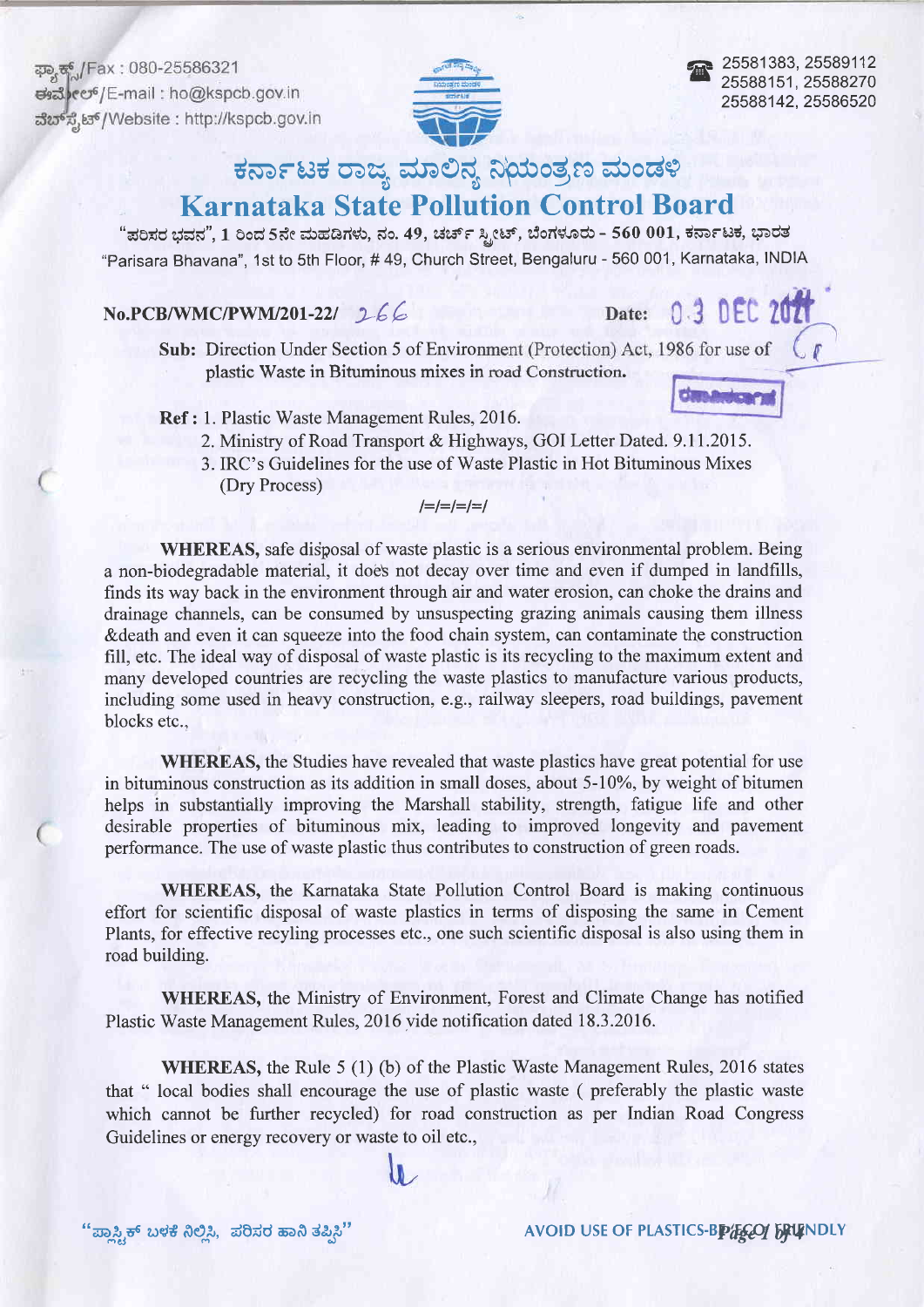ಫ್ಯಾಕ್ಟ್/Fax : 080-25586321 ಈಮೋಲ್/E-mail : ho@kspcb.gov.in ವೆಬ್ ಸೈಟ್/Website : http://kspcb.gov.in



25581383, 25589112<br>25588151. 25588270 25588142,25586520

## ಕರ್ನಾಟಕ ರಾಜ್ಯ ಮಾಲಿನ್ಯ ನಿಯಂತ್ರಣ ಮಂಡಳಿ Karnataka State Pollution Control Board

"ಪರಿಸರ ಭವನ", 1 ರಿಂದ 5ನೇ ಮಹಡಿಗಳು, ನಂ. 49, ಚರ್ಚ್ ಸ್ಟೀಟ್, ಬೆಂಗಳೂರು - 560 001, ಕರ್ನಾಟಕ, ಭಾರತ "Parisara Bhavana", 1st to 5th Floor, # 49, Church Street, Bengaluru - 560 001, Karnataka, INDIA

 $No.PCB/WMC/PWM/201-22/266$ 

Date: 0.3 DEC 2021

Sub: Direction Under Section 5 of Environment (Protection) Act, 1986 for use of plastic Waste in Bituminous mixes in road Construction.

Ref : 1. Plastic Waste Management Rules, 2016.

- 2. Ministry of Road Transport & Highways, GOI Letter Dated. 9.11.2015.
- 3. IRC's Guidelines for the use of Waste Plastic in Hot Bituminous Mixes (Dry Process)

 $l=$  $l=$  $l=$  $l=$  $l$ 

WHEREAS, safe disposal of waste plastic is a serious environmental problem. Being a non-biodegradable material, it does not decay over time and even if dumped in landfills, finds its way back in the environment through air and water erosion, can choke the drains and drainage channels, can be consumed by unsuspecting grazing animals causing them illness &death and even it can squeeze into the food chain system, can contaminate the construction frll, etc. The ideal way of disposal of waste plastic is its recycling to the maximum extent and many developed countries are recycling the waste plastics to manufacture various products, including some used in heavy construction, e.g., railway sleepers, road buildings, pavement blocks etc.,

WHEREAS, the Studies have revealed that waste plastics have great potential for use in bituminous construction as its addition in small doses, about 5-10%, by weight of bitumen helps in substantially improving the Marshall stability, strength, fatigue life and other desirable properties of bituminous mix, leading to improved longevity and pavement performance. The use of waste plastic thus contributes to construction of green roads.

WHEREAS, the Karnataka State Pollution Control Board is making continuous effort for scientific disposal of waste plastics in terms of disposing the same in Cement Plants, for effective recyling processes etc., one such scientific disposal is also using them in road building.

WHEREAS, the Ministry of Environment, Forest and Climate Change has notified Plastic Waste Management Rules,2016 vide notification dated 18.3.2016.

WHEREAS, the Rule 5 (1) (b) of the Plastic Waste Management Rules, 2016 states that " local bodies shall encourage the use of plastic waste ( preferably the plastic waste which cannot be further recycled) for road construction as per Indian Road Congress Guidelines or energy recovery or waste to oil etc.,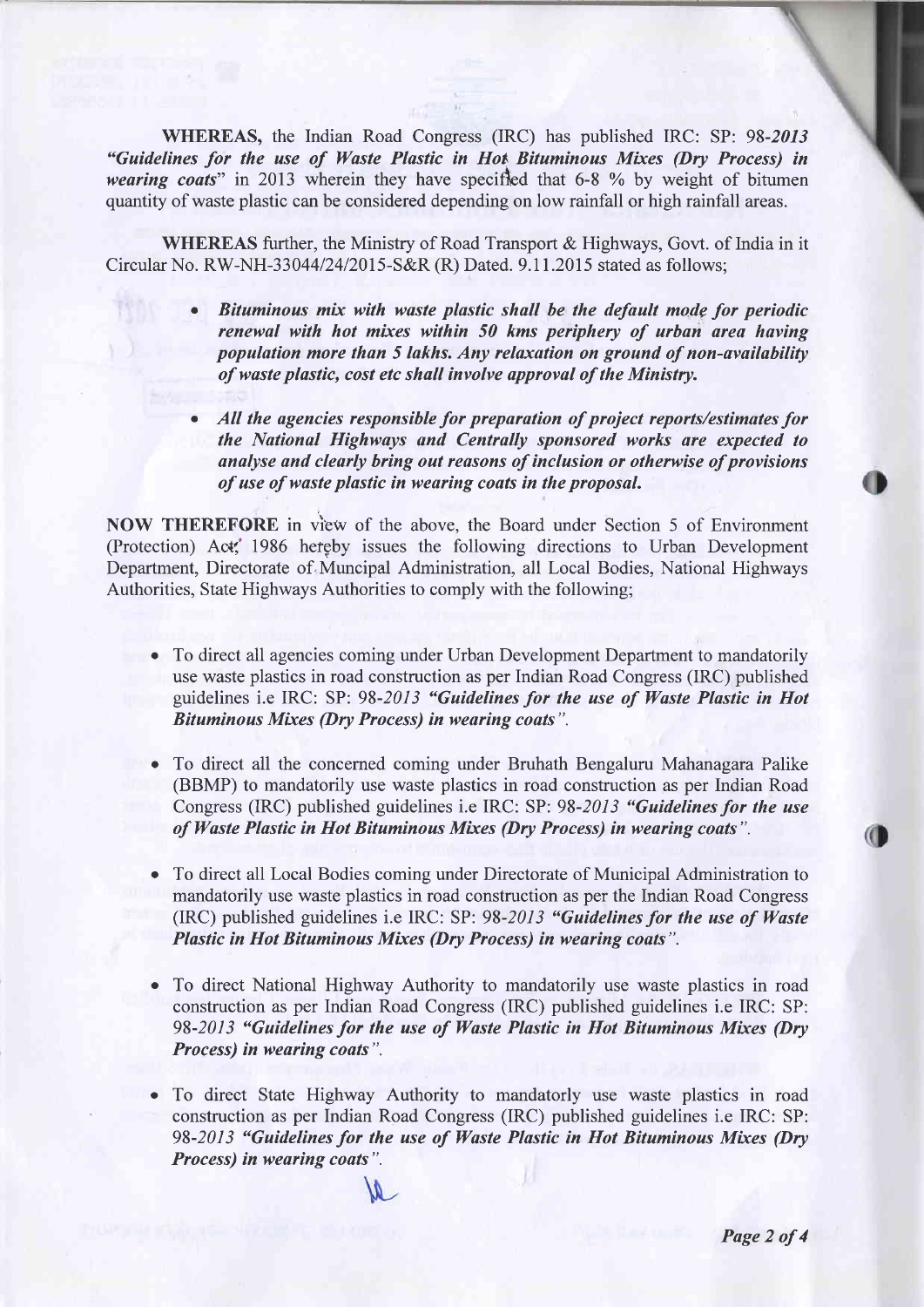WHEREAS, the Indian Road Congress (IRC) has published IRC: SP: 98-2013 "Guidelines for the use of Waste Plastic in Hot Bituminous Mixes (Dry Process) in wearing coats" in 2013 wherein they have specified that 6-8 % by weight of bitumen quantity of waste plastic can be considered depending on low rainfall or high rainfall areas.

WHEREAS further, the Ministry of Road Transport & Highways, Govt. of India in it Circular No. RW-NH-3304412412015-S&R (R) Dated. 9.11.2015 stated as follows;

- Bituminous mix with waste plastic shall be the default mode for periodic renewal with hot mixes within 50 kms periphery of urban area having population more than 5 lakhs. Any relaxation on ground of non-availability of waste plastic, cost etc shall involve approval of the Ministry.
- All the agencies responsible for preparation of project reports/estimates for the National Highways and Centrally sponsored works are expected to analyse and clearly bring out reasons of inclusion or otherwise of provisions of use of waste plastic in wearing coats in the proposal.

NOW THEREFORE in view of the above, the Board under Section 5 of Environment (Protection) Act, 1986 hereby issues the following directions to Urban Development Department, Directorate of.Muncipal Administration, all Local Bodies, National Highways Authorities, State Highways Authorities to comply with the following;

- o To direct all agencies coming under Urban Development Department to mandatorily use waste plastics in road construction as per Indian Road Congress (IRC) published guidelines i.e IRC: SP: 98-2013 "Guidelines for the use of Waste Plastic in Hot Bituminous Mixes (Dry Process) in wearing coats".
- o To direct all the concerned coming under Bruhath Bengaluru Mahanagara Palike (BBMP) to mandatorily use waste plastics in road construction as per Indian Road Congress (IRC) published guidelines i.e IRC: SP:98-2013 "Guidelines for the use of Waste Plastic in Hot Bituminous Mixes (Dry Process) in wearing coats".
- To direct all Local Bodies coming under Directorate of Municipal Administration to mandatorily use waste plastics in road construction as per the Indian Road Congress (IRC) published guidelines i.e IRC: SP: 98-2013 "Guidelines for the use of Waste Plastic in Hot Bituminous Mixes (Dry Process) in wearing coats".
- To direct National Highway Authority to mandatorily use waste plastics in road construction as per Indian Road Congress (IRC) published guidelines i.e IRC: SP: 98-2013 "Guidelines for the use of Waste Plastic in Hol Bituminous Mixes (Dry Process) in wearing coats ".
- To direct State Highway Authority to mandatorly use waste plastics in road construction as per Indian Road Congress (IRC) published guidelines i.e IRC: SP: 98-2013 "Guidelines for the use of Waste Plastic in Hot Bituminous Mixes (Dry Process) in wearing coats ".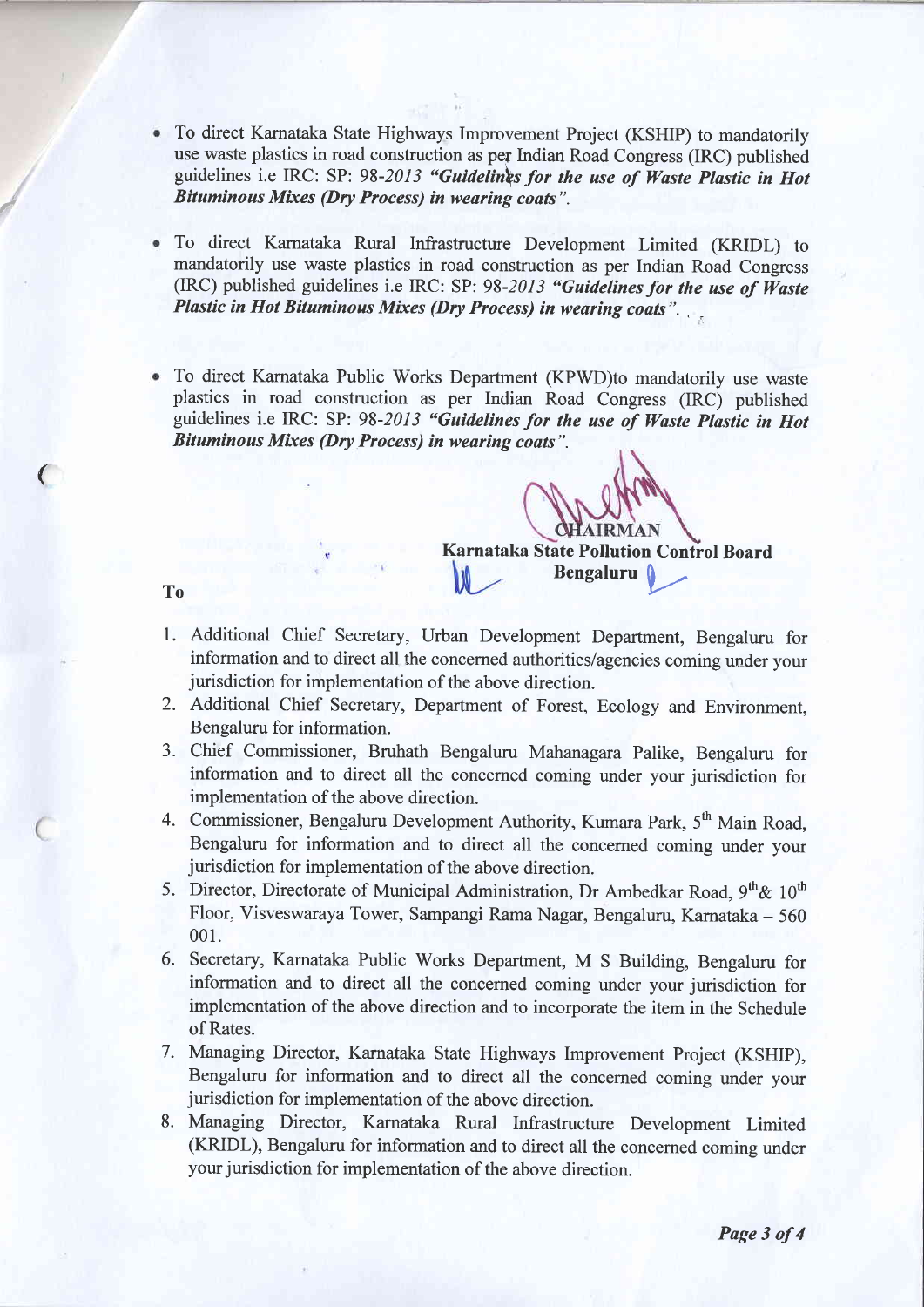- To direct Karnataka State Highways Improvement Project (KSHIP) to mandatorily  $\bullet$ use waste plastics in road construction as per Indian Road Congress (IRC) published guidelines i.e IRC: SP: 98-2013 "Guidelines for the use of Waste Plastic in Hot Bituminous Mixes (Dry Process) in wearing coats".
- To direct Karnataka Rural Infrastructure Development Limited (KRIDL) to mandatorily use waste plastics in road construction as per Indian Road Congress (IRC) published guidelines i.e IRC: SP: 98-2013 "Guidelines for the use of Waste Plastic in Hot Bituminous Mixes (Dry Process) in wearing coats".
- To direct Karnataka Public Works Department (KPWD)to mandatorily use waste plastics in road construction as per Indian Road Congress (IRC) published guidelines i.e IRC: SP: 98-2013 "Guidelines for the use of Waste Plastic in Hot Bituminous Mixes (Dry Process) in wearing coats".

Karnataka State Pollution Control Board **Bengaluru** 

To

I

 $\overline{\mathcal{C}}$ 

- Additional Chief Secretary, Urban Development Department, Bengaluru for 1. information and to direct all the concerned authorities/agencies coming under your jurisdiction for implementation of the above direction.
- Additional Chief Secretary, Department of Forest, Ecology and Environment, 2. Bengaluru for information.
- Chief commissioner, Bruhath Bengaluru Mahanagara Palike, Bengaluru for ). information and to direct all the concerned coming under your jurisdiction for implementation of the above direction.
- 4. Commissioner, Bengaluru Development Authority, Kumara Park, 5<sup>th</sup> Main Road, Bengaluru for information and to direct all the concerned coming under your jurisdiction for implementation of the above direction.
- 5. Director, Directorate of Municipal Administration, Dr Ambedkar Road,  $9^{th}$ &  $10^{th}$ Floor, visveswaraya Tower, sampangi Rama Nagar, Bengaluru, Kamataka - <sup>560</sup> 001.
- 6. Secretary, Karnataka Public Works Department, M S Building, Bengaluru for information and to direct all the concerned coming under your jurisdiction for implementation of the above direction and to incorporate the item in the Schedule of Rates.
- 7. Managing Director, Karnataka State Highways Improvement Project (KSHIP) Bengaluru for information and to direct all the concerned coming under your jurisdiction for implementation of the above direction.
- Managing Director, Karnataka Rural Infrastructure Development Limited 8. (KRIDL), Bengaluru for information and to direct all the concerned coming under your jurisdiction for implementation of the above direction.